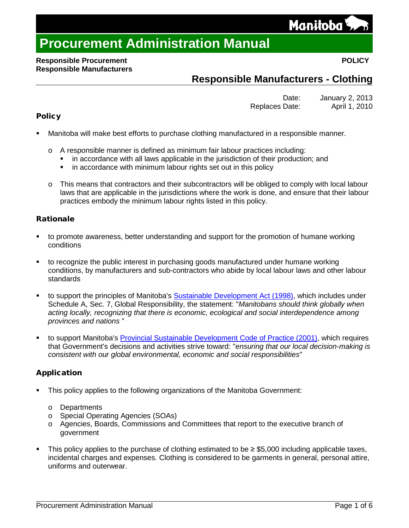## **Procurement Administration Manual**

#### **Responsible Procurement According to the U.S. According to the POLICY POLICY Responsible Manufacturers**

### **Responsible Manufacturers - Clothing**

Date: January 2, 2013<br>Date: April 1, 2010 Replaces Date:

#### <span id="page-0-0"></span>**Policy**

- Manitoba will make best efforts to purchase clothing manufactured in a responsible manner.
	- o A responsible manner is defined as minimum fair labour practices including:
		- in accordance with all laws applicable in the jurisdiction of their production; and
		- in accordance with minimum labour rights set out in this policy
	- o This means that contractors and their subcontractors will be obliged to comply with local labour laws that are applicable in the jurisdictions where the work is done, and ensure that their labour practices embody the minimum labour rights listed in this policy.

#### Rationale

- to promote awareness, better understanding and support for the promotion of humane working conditions
- to recognize the public interest in purchasing goods manufactured under humane working conditions, by manufacturers and sub-contractors who abide by local labour laws and other labour standards
- **the support the principles of Manitoba's [Sustainable Development Act \(1998\),](http://web2.gov.mb.ca/laws/statutes/ccsm/s270e.php) which includes under** Schedule A, Sec. 7, Global Responsibility, the statement: "*Manitobans should think globally when acting locally, recognizing that there is economic, ecological and social interdependence among provinces and nations* "
- to support Manitoba's [Provincial Sustainable Development Code of Practice \(2001\),](http://www.gov.mb.ca/conservation/susresmb/pdf/sd_code_prac.pdf) which requires that Government's decisions and activities strive toward: "*ensuring that our local decision-making is consistent with our global environmental, economic and social responsibilities*"

#### Application

- This policy applies to the following organizations of the Manitoba Government:
	- o Departments
	- o Special Operating Agencies (SOAs)
	- o Agencies, Boards, Commissions and Committees that report to the executive branch of government
- This policy applies to the purchase of clothing estimated to be  $\geq$  \$5,000 including applicable taxes, incidental charges and expenses. Clothing is considered to be garments in general, personal attire, uniforms and outerwear.

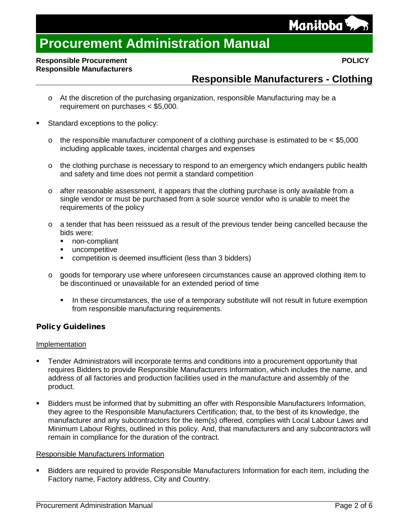# Manitoba'

## **Procurement Administration Manual**

#### **Responsible Procurement According to the U.S. According to the POLICY POLICY Responsible Manufacturers**

### **Responsible Manufacturers - Clothing**

- o At the discretion of the purchasing organization, responsible Manufacturing may be a requirement on purchases < \$5,000.
- Standard exceptions to the policy:
	- $\circ$  the responsible manufacturer component of a clothing purchase is estimated to be  $\lt$  \$5,000 including applicable taxes, incidental charges and expenses
	- $\circ$  the clothing purchase is necessary to respond to an emergency which endangers public health and safety and time does not permit a standard competition
	- o after reasonable assessment, it appears that the clothing purchase is only available from a single vendor or must be purchased from a sole source vendor who is unable to meet the requirements of the policy
	- o a tender that has been reissued as a result of the previous tender being cancelled because the bids were:
		- non-compliant
		- uncompetitive
		- competition is deemed insufficient (less than 3 bidders)
	- o goods for temporary use where unforeseen circumstances cause an approved clothing item to be discontinued or unavailable for an extended period of time
		- In these circumstances, the use of a temporary substitute will not result in future exemption from responsible manufacturing requirements.

#### Policy Guidelines

#### Implementation

- Tender Administrators will incorporate terms and conditions into a procurement opportunity that requires Bidders to provide Responsible Manufacturers Information, which includes the name, and address of all factories and production facilities used in the manufacture and assembly of the product.
- Bidders must be informed that by submitting an offer with Responsible Manufacturers Information, they agree to the Responsible Manufacturers Certification; that, to the best of its knowledge, the manufacturer and any subcontractors for the item(s) offered, complies with Local Labour Laws and Minimum Labour Rights, outlined in this policy. And, that manufacturers and any subcontractors will remain in compliance for the duration of the contract.

#### Responsible Manufacturers Information

 Bidders are required to provide Responsible Manufacturers Information for each item, including the Factory name, Factory address, City and Country.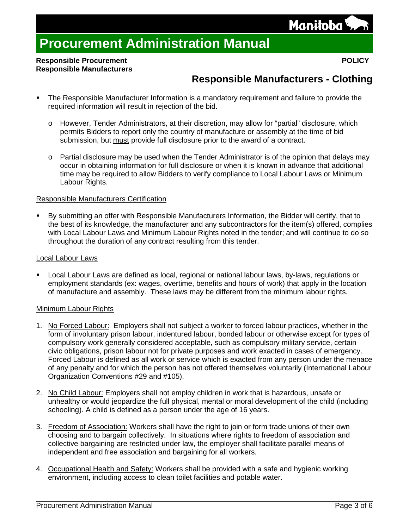

## **Procurement Administration Manual**

#### **Responsible Procurement According to the U.S. According to the POLICY POLICY Responsible Manufacturers**

### **Responsible Manufacturers - Clothing**

- The Responsible Manufacturer Information is a mandatory requirement and failure to provide the required information will result in rejection of the bid.
	- o However, Tender Administrators, at their discretion, may allow for "partial" disclosure, which permits Bidders to report only the country of manufacture or assembly at the time of bid submission, but must provide full disclosure prior to the award of a contract.
	- o Partial disclosure may be used when the Tender Administrator is of the opinion that delays may occur in obtaining information for full disclosure or when it is known in advance that additional time may be required to allow Bidders to verify compliance to Local Labour Laws or Minimum Labour Rights.

#### Responsible Manufacturers Certification

 By submitting an offer with Responsible Manufacturers Information, the Bidder will certify, that to the best of its knowledge, the manufacturer and any subcontractors for the item(s) offered, complies with Local Labour Laws and Minimum Labour Rights noted in the tender; and will continue to do so throughout the duration of any contract resulting from this tender.

#### Local Labour Laws

 Local Labour Laws are defined as local, regional or national labour laws, by-laws, regulations or employment standards (ex: wages, overtime, benefits and hours of work) that apply in the location of manufacture and assembly. These laws may be different from the minimum labour rights.

#### Minimum Labour Rights

- 1. No Forced Labour: Employers shall not subject a worker to forced labour practices, whether in the form of involuntary prison labour, indentured labour, bonded labour or otherwise except for types of compulsory work generally considered acceptable, such as compulsory military service, certain civic obligations, prison labour not for private purposes and work exacted in cases of emergency. Forced Labour is defined as all work or service which is exacted from any person under the menace of any penalty and for which the person has not offered themselves voluntarily (International Labour Organization Conventions #29 and #105).
- 2. No Child Labour: Employers shall not employ children in work that is hazardous, unsafe or unhealthy or would jeopardize the full physical, mental or moral development of the child (including schooling). A child is defined as a person under the age of 16 years.
- 3. Freedom of Association: Workers shall have the right to join or form trade unions of their own choosing and to bargain collectively. In situations where rights to freedom of association and collective bargaining are restricted under law, the employer shall facilitate parallel means of independent and free association and bargaining for all workers.
- 4. Occupational Health and Safety: Workers shall be provided with a safe and hygienic working environment, including access to clean toilet facilities and potable water.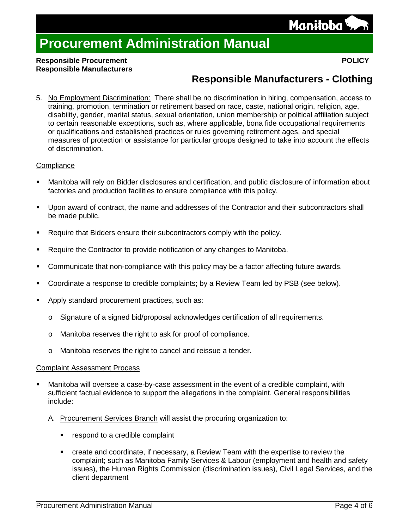

## **Procurement Administration Manual**

#### **Responsible Procurement According to the U.S. According to the POLICY POLICY Responsible Manufacturers**

### **Responsible Manufacturers - Clothing**

5. No Employment Discrimination: There shall be no discrimination in hiring, compensation, access to training, promotion, termination or retirement based on race, caste, national origin, religion, age, disability, gender, marital status, sexual orientation, union membership or political affiliation subject to certain reasonable exceptions, such as, where applicable, bona fide occupational requirements or qualifications and established practices or rules governing retirement ages, and special measures of protection or assistance for particular groups designed to take into account the effects of discrimination.

#### **Compliance**

- Manitoba will rely on Bidder disclosures and certification, and public disclosure of information about factories and production facilities to ensure compliance with this policy.
- Upon award of contract, the name and addresses of the Contractor and their subcontractors shall be made public.
- **Require that Bidders ensure their subcontractors comply with the policy.**
- Require the Contractor to provide notification of any changes to Manitoba.
- Communicate that non-compliance with this policy may be a factor affecting future awards.
- Coordinate a response to credible complaints; by a Review Team led by PSB (see below).
- Apply standard procurement practices, such as:
	- o Signature of a signed bid/proposal acknowledges certification of all requirements.
	- o Manitoba reserves the right to ask for proof of compliance.
	- o Manitoba reserves the right to cancel and reissue a tender.

#### Complaint Assessment Process

- Manitoba will oversee a case-by-case assessment in the event of a credible complaint, with sufficient factual evidence to support the allegations in the complaint. General responsibilities include:
	- A. Procurement Services Branch will assist the procuring organization to:
		- **F** respond to a credible complaint
		- create and coordinate, if necessary, a Review Team with the expertise to review the complaint; such as Manitoba Family Services & Labour (employment and health and safety issues), the Human Rights Commission (discrimination issues), Civil Legal Services, and the client department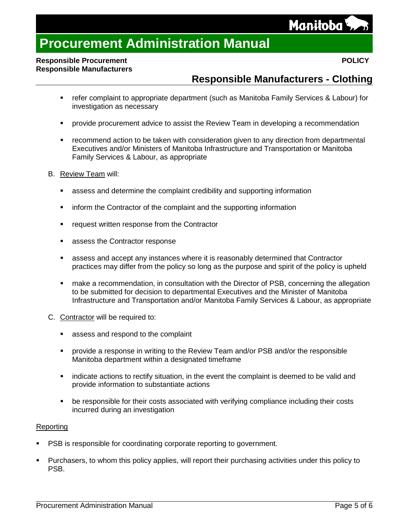# Manitoba'

## **Procurement Administration Manual**

#### **Responsible Procurement According to the U.S. According to the POLICY POLICY Responsible Manufacturers**

### **Responsible Manufacturers - Clothing**

- refer complaint to appropriate department (such as Manitoba Family Services & Labour) for investigation as necessary
- provide procurement advice to assist the Review Team in developing a recommendation
- recommend action to be taken with consideration given to any direction from departmental Executives and/or Ministers of Manitoba Infrastructure and Transportation or Manitoba Family Services & Labour, as appropriate
- B. Review Team will:
	- assess and determine the complaint credibility and supporting information
	- **EXED** inform the Contractor of the complaint and the supporting information
	- **F** request written response from the Contractor
	- **assess the Contractor response**
	- assess and accept any instances where it is reasonably determined that Contractor practices may differ from the policy so long as the purpose and spirit of the policy is upheld
	- make a recommendation, in consultation with the Director of PSB, concerning the allegation to be submitted for decision to departmental Executives and the Minister of Manitoba Infrastructure and Transportation and/or Manitoba Family Services & Labour, as appropriate
- C. Contractor will be required to:
	- **assess and respond to the complaint**
	- provide a response in writing to the Review Team and/or PSB and/or the responsible Manitoba department within a designated timeframe
	- **EXECT** indicate actions to rectify situation, in the event the complaint is deemed to be valid and provide information to substantiate actions
	- be responsible for their costs associated with verifying compliance including their costs incurred during an investigation

#### Reporting

- PSB is responsible for coordinating corporate reporting to government.
- Purchasers, to whom this policy applies, will report their purchasing activities under this policy to PSB.